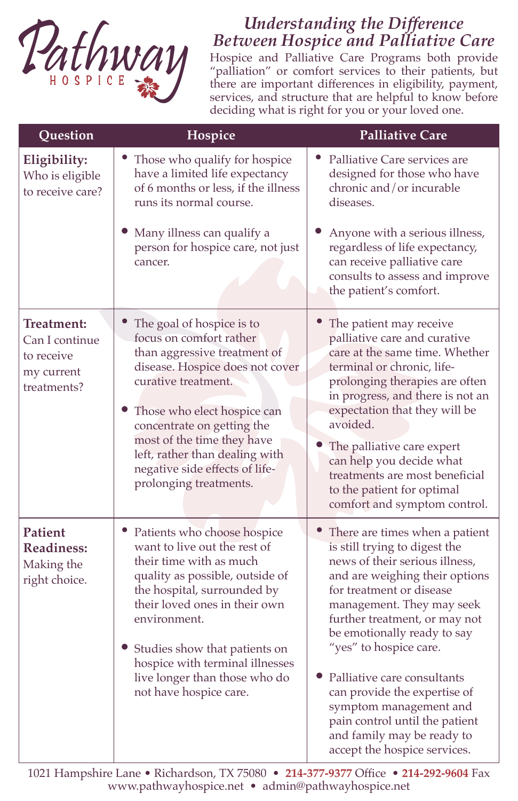

## *Understanding the Difference Between Hospice and Palliative Care*

Hospice and Palliative Care Programs both provide "palliation" or comfort services to their patients, but there are important differences in eligibility, payment, services, and structure that are helpful to know before deciding what is right for you or your loved one.

| Question                                                                | Hospice                                                                                                                                                                                                                                                                                                                                    | <b>Palliative Care</b>                                                                                                                                                                                                                                                                                                                                                                                                                                                            |
|-------------------------------------------------------------------------|--------------------------------------------------------------------------------------------------------------------------------------------------------------------------------------------------------------------------------------------------------------------------------------------------------------------------------------------|-----------------------------------------------------------------------------------------------------------------------------------------------------------------------------------------------------------------------------------------------------------------------------------------------------------------------------------------------------------------------------------------------------------------------------------------------------------------------------------|
| Eligibility:<br>Who is eligible<br>to receive care?                     | Those who qualify for hospice<br>have a limited life expectancy<br>of 6 months or less, if the illness<br>runs its normal course.                                                                                                                                                                                                          | Palliative Care services are<br>designed for those who have<br>chronic and/or incurable<br>diseases.                                                                                                                                                                                                                                                                                                                                                                              |
|                                                                         | Many illness can qualify a<br>person for hospice care, not just<br>cancer.                                                                                                                                                                                                                                                                 | Anyone with a serious illness,<br>regardless of life expectancy,<br>can receive palliative care<br>consults to assess and improve<br>the patient's comfort.                                                                                                                                                                                                                                                                                                                       |
| Treatment:<br>Can I continue<br>to receive<br>my current<br>treatments? | The goal of hospice is to<br>focus on comfort rather<br>than aggressive treatment of<br>disease. Hospice does not cover<br>curative treatment.<br>Those who elect hospice can<br>concentrate on getting the<br>most of the time they have<br>left, rather than dealing with<br>negative side effects of life-<br>prolonging treatments.    | The patient may receive<br>palliative care and curative<br>care at the same time. Whether<br>terminal or chronic, life-<br>prolonging therapies are often<br>in progress, and there is not an<br>expectation that they will be<br>avoided.<br>The palliative care expert<br>can help you decide what<br>treatments are most beneficial<br>to the patient for optimal<br>comfort and symptom control.                                                                              |
| Patient<br><b>Readiness:</b><br>Making the<br>right choice.             | Patients who choose hospice<br>want to live out the rest of<br>their time with as much<br>quality as possible, outside of<br>the hospital, surrounded by<br>their loved ones in their own<br>environment.<br>• Studies show that patients on<br>hospice with terminal illnesses<br>live longer than those who do<br>not have hospice care. | There are times when a patient<br>is still trying to digest the<br>news of their serious illness,<br>and are weighing their options<br>for treatment or disease<br>management. They may seek<br>further treatment, or may not<br>be emotionally ready to say<br>"yes" to hospice care.<br>• Palliative care consultants<br>can provide the expertise of<br>symptom management and<br>pain control until the patient<br>and family may be ready to<br>accept the hospice services. |